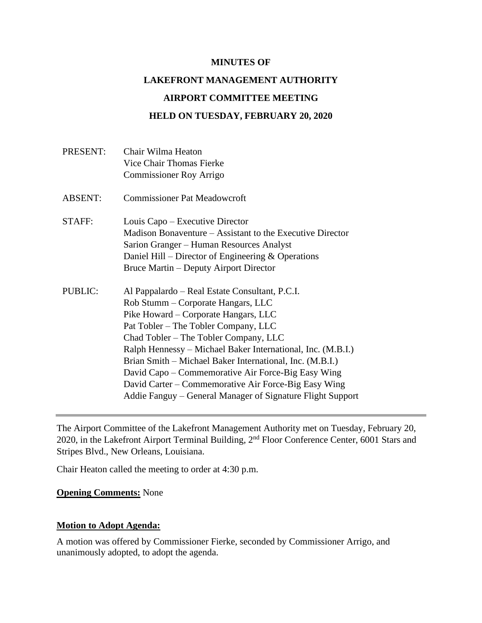#### **MINUTES OF**

# **LAKEFRONT MANAGEMENT AUTHORITY**

#### **AIRPORT COMMITTEE MEETING**

# **HELD ON TUESDAY, FEBRUARY 20, 2020**

| PRESENT:       | Chair Wilma Heaton                                          |
|----------------|-------------------------------------------------------------|
|                | <b>Vice Chair Thomas Fierke</b>                             |
|                | Commissioner Roy Arrigo                                     |
| <b>ABSENT:</b> | <b>Commissioner Pat Meadowcroft</b>                         |
| STAFF:         | Louis Capo – Executive Director                             |
|                | Madison Bonaventure – Assistant to the Executive Director   |
|                | Sarion Granger – Human Resources Analyst                    |
|                | Daniel Hill – Director of Engineering $&$ Operations        |
|                | Bruce Martin – Deputy Airport Director                      |
| <b>PUBLIC:</b> | Al Pappalardo – Real Estate Consultant, P.C.I.              |
|                | Rob Stumm – Corporate Hangars, LLC                          |
|                | Pike Howard – Corporate Hangars, LLC                        |
|                | Pat Tobler – The Tobler Company, LLC                        |
|                | Chad Tobler – The Tobler Company, LLC                       |
|                | Ralph Hennessy – Michael Baker International, Inc. (M.B.I.) |
|                | Brian Smith – Michael Baker International, Inc. (M.B.I.)    |
|                | David Capo – Commemorative Air Force-Big Easy Wing          |
|                | David Carter – Commemorative Air Force-Big Easy Wing        |
|                | Addie Fanguy – General Manager of Signature Flight Support  |
|                |                                                             |

The Airport Committee of the Lakefront Management Authority met on Tuesday, February 20, 2020, in the Lakefront Airport Terminal Building, 2nd Floor Conference Center, 6001 Stars and Stripes Blvd., New Orleans, Louisiana.

Chair Heaton called the meeting to order at 4:30 p.m.

#### **Opening Comments:** None

# **Motion to Adopt Agenda:**

A motion was offered by Commissioner Fierke, seconded by Commissioner Arrigo, and unanimously adopted, to adopt the agenda.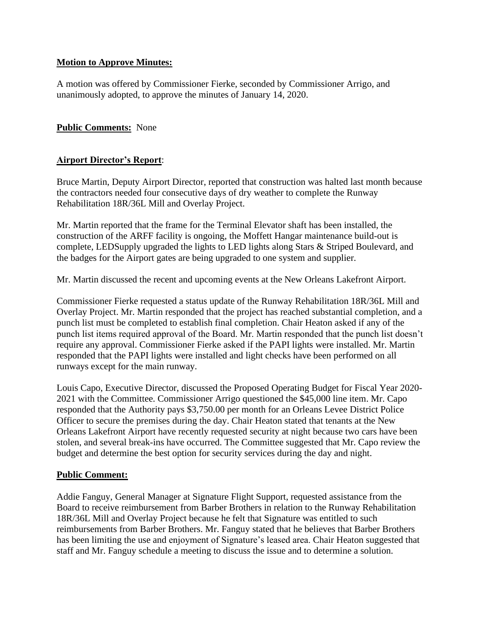## **Motion to Approve Minutes:**

A motion was offered by Commissioner Fierke, seconded by Commissioner Arrigo, and unanimously adopted, to approve the minutes of January 14, 2020.

## **Public Comments:** None

### **Airport Director's Report**:

Bruce Martin, Deputy Airport Director, reported that construction was halted last month because the contractors needed four consecutive days of dry weather to complete the Runway Rehabilitation 18R/36L Mill and Overlay Project.

Mr. Martin reported that the frame for the Terminal Elevator shaft has been installed, the construction of the ARFF facility is ongoing, the Moffett Hangar maintenance build-out is complete, LEDSupply upgraded the lights to LED lights along Stars & Striped Boulevard, and the badges for the Airport gates are being upgraded to one system and supplier.

Mr. Martin discussed the recent and upcoming events at the New Orleans Lakefront Airport.

Commissioner Fierke requested a status update of the Runway Rehabilitation 18R/36L Mill and Overlay Project. Mr. Martin responded that the project has reached substantial completion, and a punch list must be completed to establish final completion. Chair Heaton asked if any of the punch list items required approval of the Board. Mr. Martin responded that the punch list doesn't require any approval. Commissioner Fierke asked if the PAPI lights were installed. Mr. Martin responded that the PAPI lights were installed and light checks have been performed on all runways except for the main runway.

Louis Capo, Executive Director, discussed the Proposed Operating Budget for Fiscal Year 2020- 2021 with the Committee. Commissioner Arrigo questioned the \$45,000 line item. Mr. Capo responded that the Authority pays \$3,750.00 per month for an Orleans Levee District Police Officer to secure the premises during the day. Chair Heaton stated that tenants at the New Orleans Lakefront Airport have recently requested security at night because two cars have been stolen, and several break-ins have occurred. The Committee suggested that Mr. Capo review the budget and determine the best option for security services during the day and night.

#### **Public Comment:**

Addie Fanguy, General Manager at Signature Flight Support, requested assistance from the Board to receive reimbursement from Barber Brothers in relation to the Runway Rehabilitation 18R/36L Mill and Overlay Project because he felt that Signature was entitled to such reimbursements from Barber Brothers. Mr. Fanguy stated that he believes that Barber Brothers has been limiting the use and enjoyment of Signature's leased area. Chair Heaton suggested that staff and Mr. Fanguy schedule a meeting to discuss the issue and to determine a solution.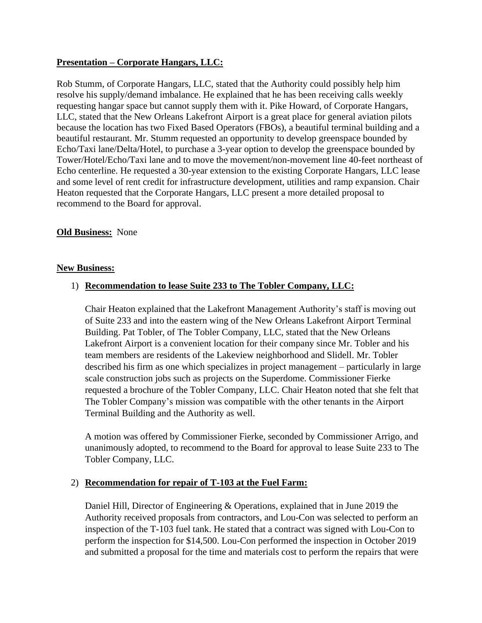## **Presentation – Corporate Hangars, LLC:**

Rob Stumm, of Corporate Hangars, LLC, stated that the Authority could possibly help him resolve his supply/demand imbalance. He explained that he has been receiving calls weekly requesting hangar space but cannot supply them with it. Pike Howard, of Corporate Hangars, LLC, stated that the New Orleans Lakefront Airport is a great place for general aviation pilots because the location has two Fixed Based Operators (FBOs), a beautiful terminal building and a beautiful restaurant. Mr. Stumm requested an opportunity to develop greenspace bounded by Echo/Taxi lane/Delta/Hotel, to purchase a 3-year option to develop the greenspace bounded by Tower/Hotel/Echo/Taxi lane and to move the movement/non-movement line 40-feet northeast of Echo centerline. He requested a 30-year extension to the existing Corporate Hangars, LLC lease and some level of rent credit for infrastructure development, utilities and ramp expansion. Chair Heaton requested that the Corporate Hangars, LLC present a more detailed proposal to recommend to the Board for approval.

### **Old Business:** None

#### **New Business:**

#### 1) **Recommendation to lease Suite 233 to The Tobler Company, LLC:**

Chair Heaton explained that the Lakefront Management Authority's staff is moving out of Suite 233 and into the eastern wing of the New Orleans Lakefront Airport Terminal Building. Pat Tobler, of The Tobler Company, LLC, stated that the New Orleans Lakefront Airport is a convenient location for their company since Mr. Tobler and his team members are residents of the Lakeview neighborhood and Slidell. Mr. Tobler described his firm as one which specializes in project management – particularly in large scale construction jobs such as projects on the Superdome. Commissioner Fierke requested a brochure of the Tobler Company, LLC. Chair Heaton noted that she felt that The Tobler Company's mission was compatible with the other tenants in the Airport Terminal Building and the Authority as well.

A motion was offered by Commissioner Fierke, seconded by Commissioner Arrigo, and unanimously adopted, to recommend to the Board for approval to lease Suite 233 to The Tobler Company, LLC.

# 2) **Recommendation for repair of T-103 at the Fuel Farm:**

Daniel Hill, Director of Engineering & Operations, explained that in June 2019 the Authority received proposals from contractors, and Lou-Con was selected to perform an inspection of the T-103 fuel tank. He stated that a contract was signed with Lou-Con to perform the inspection for \$14,500. Lou-Con performed the inspection in October 2019 and submitted a proposal for the time and materials cost to perform the repairs that were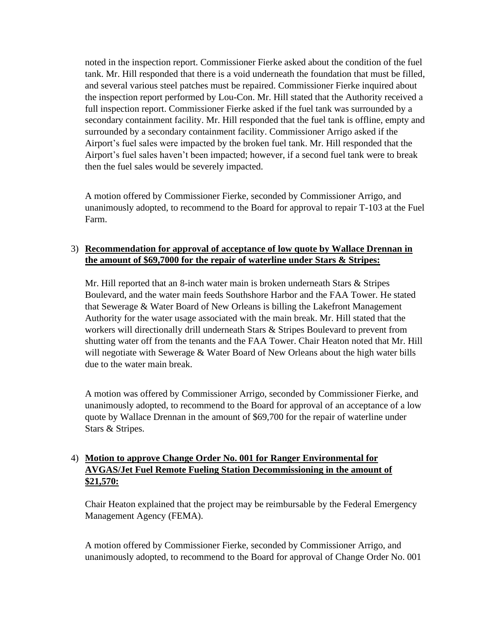noted in the inspection report. Commissioner Fierke asked about the condition of the fuel tank. Mr. Hill responded that there is a void underneath the foundation that must be filled, and several various steel patches must be repaired. Commissioner Fierke inquired about the inspection report performed by Lou-Con. Mr. Hill stated that the Authority received a full inspection report. Commissioner Fierke asked if the fuel tank was surrounded by a secondary containment facility. Mr. Hill responded that the fuel tank is offline, empty and surrounded by a secondary containment facility. Commissioner Arrigo asked if the Airport's fuel sales were impacted by the broken fuel tank. Mr. Hill responded that the Airport's fuel sales haven't been impacted; however, if a second fuel tank were to break then the fuel sales would be severely impacted.

A motion offered by Commissioner Fierke, seconded by Commissioner Arrigo, and unanimously adopted, to recommend to the Board for approval to repair T-103 at the Fuel Farm.

# 3) **Recommendation for approval of acceptance of low quote by Wallace Drennan in the amount of \$69,7000 for the repair of waterline under Stars & Stripes:**

Mr. Hill reported that an 8-inch water main is broken underneath Stars & Stripes Boulevard, and the water main feeds Southshore Harbor and the FAA Tower. He stated that Sewerage & Water Board of New Orleans is billing the Lakefront Management Authority for the water usage associated with the main break. Mr. Hill stated that the workers will directionally drill underneath Stars & Stripes Boulevard to prevent from shutting water off from the tenants and the FAA Tower. Chair Heaton noted that Mr. Hill will negotiate with Sewerage & Water Board of New Orleans about the high water bills due to the water main break.

A motion was offered by Commissioner Arrigo, seconded by Commissioner Fierke, and unanimously adopted, to recommend to the Board for approval of an acceptance of a low quote by Wallace Drennan in the amount of \$69,700 for the repair of waterline under Stars & Stripes.

# 4) **Motion to approve Change Order No. 001 for Ranger Environmental for AVGAS/Jet Fuel Remote Fueling Station Decommissioning in the amount of \$21,570:**

Chair Heaton explained that the project may be reimbursable by the Federal Emergency Management Agency (FEMA).

A motion offered by Commissioner Fierke, seconded by Commissioner Arrigo, and unanimously adopted, to recommend to the Board for approval of Change Order No. 001